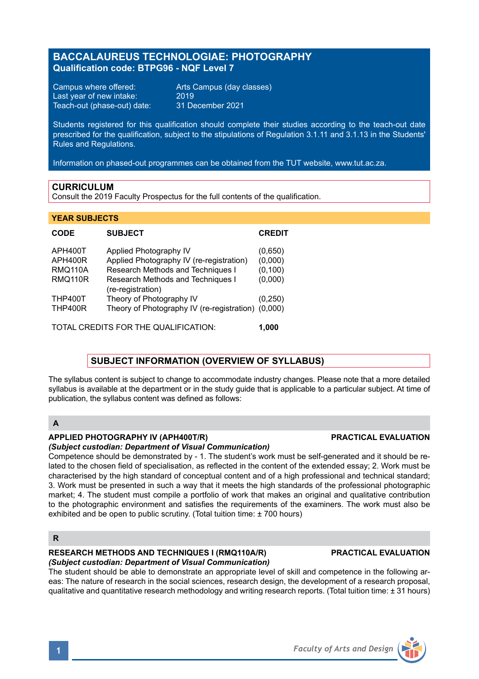# **BACCALAUREUS TECHNOLOGIAE: PHOTOGRAPHY Qualification code: BTPG96 - NQF Level 7**

Campus where offered: Arts Campus (day classes)<br>Last year of new intake: 2019 Last year of new intake: 2019<br>Teach-out (phase-out) date: 31 December 2021 Teach-out (phase-out) date:

Students registered for this qualification should complete their studies according to the teach-out date prescribed for the qualification, subject to the stipulations of Regulation 3.1.11 and 3.1.13 in the Students' Rules and Regulations.

Information on phased-out programmes can be obtained from the TUT website, www.tut.ac.za.

## **CURRICULUM**

Consult the 2019 Faculty Prospectus for the full contents of the qualification.

### **YEAR SUBJECTS**

| <b>CODE</b>                          | <b>SUBJECT</b>                                         | <b>CREDIT</b> |
|--------------------------------------|--------------------------------------------------------|---------------|
| APH400T                              | Applied Photography IV                                 | (0,650)       |
| APH400R                              | Applied Photography IV (re-registration)               | (0,000)       |
| <b>RMQ110A</b>                       | Research Methods and Techniques I                      | (0, 100)      |
| <b>RMQ110R</b>                       | Research Methods and Techniques I<br>(re-registration) | (0,000)       |
| <b>THP400T</b>                       | Theory of Photography IV                               | (0, 250)      |
| <b>THP400R</b>                       | Theory of Photography IV (re-registration) (0,000)     |               |
| TOTAL CREDITS FOR THE QUALIFICATION: |                                                        |               |

## **SUBJECT INFORMATION (OVERVIEW OF SYLLABUS)**

The syllabus content is subject to change to accommodate industry changes. Please note that a more detailed syllabus is available at the department or in the study guide that is applicable to a particular subject. At time of publication, the syllabus content was defined as follows:

# **A**

## **APPLIED PHOTOGRAPHY IV (APH400T/R) PRACTICAL EVALUATION**

*(Subject custodian: Department of Visual Communication)*

Competence should be demonstrated by - 1. The student's work must be self-generated and it should be related to the chosen field of specialisation, as reflected in the content of the extended essay; 2. Work must be characterised by the high standard of conceptual content and of a high professional and technical standard; 3. Work must be presented in such a way that it meets the high standards of the professional photographic market; 4. The student must compile a portfolio of work that makes an original and qualitative contribution to the photographic environment and satisfies the requirements of the examiners. The work must also be exhibited and be open to public scrutiny. (Total tuition time: + 700 hours).

## **R**

# **RESEARCH METHODS AND TECHNIQUES I (RMQ110A/R) PRACTICAL EVALUATION**

## *(Subject custodian: Department of Visual Communication)*

The student should be able to demonstrate an appropriate level of skill and competence in the following areas: The nature of research in the social sciences, research design, the development of a research proposal, qualitative and quantitative research methodology and writing research reports. (Total tuition time: ± 31 hours)